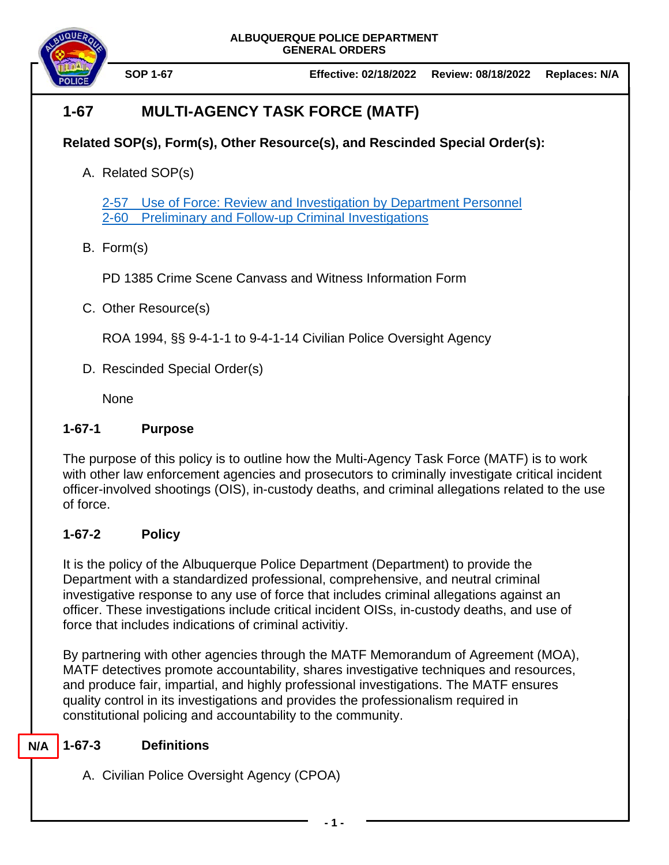



# **1-67 MULTI-AGENCY TASK FORCE (MATF)**

## **Related SOP(s), Form(s), Other Resource(s), and Rescinded Special Order(s):**

A. Related SOP(s)

2-57 [Use of Force: Review and Investigation by Department Personnel](https://powerdms.com/docs/1700599) 2-60 [Preliminary and Follow-up Criminal Investigations](https://powerdms.com/docs/107)

B. Form(s)

PD 1385 Crime Scene Canvass and Witness Information Form

C. Other Resource(s)

ROA 1994, §§ 9-4-1-1 to 9-4-1-14 Civilian Police Oversight Agency

D. Rescinded Special Order(s)

**None** 

## **1-67-1 Purpose**

The purpose of this policy is to outline how the Multi-Agency Task Force (MATF) is to work with other law enforcement agencies and prosecutors to criminally investigate critical incident officer-involved shootings (OIS), in-custody deaths, and criminal allegations related to the use of force.

## **1-67-2 Policy**

It is the policy of the Albuquerque Police Department (Department) to provide the Department with a standardized professional, comprehensive, and neutral criminal investigative response to any use of force that includes criminal allegations against an officer. These investigations include critical incident OISs, in-custody deaths, and use of force that includes indications of criminal activitiy.

By partnering with other agencies through the MATF Memorandum of Agreement (MOA), MATF detectives promote accountability, shares investigative techniques and resources, and produce fair, impartial, and highly professional investigations. The MATF ensures quality control in its investigations and provides the professionalism required in constitutional policing and accountability to the community.

#### **1-67-3 Definitions N/A**

A. Civilian Police Oversight Agency (CPOA)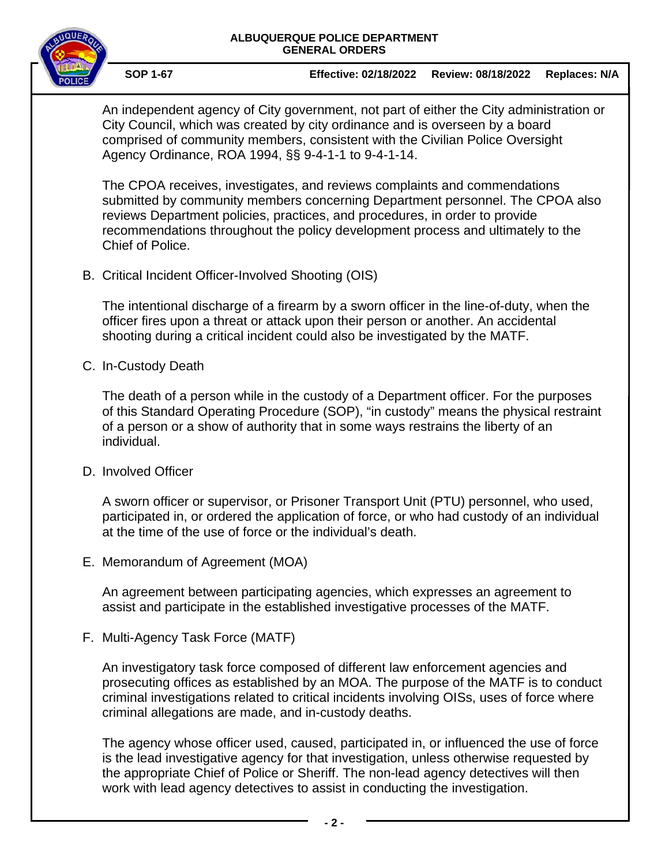### **ALBUQUERQUE POLICE DEPARTMENT GENERAL ORDERS**



**SOP 1-67 Effective: 02/18/2022 Review: 08/18/2022 Replaces: N/A**

An independent agency of City government, not part of either the City administration or City Council, which was created by city ordinance and is overseen by a board comprised of community members, consistent with the Civilian Police Oversight Agency Ordinance, ROA 1994, §§ 9-4-1-1 to 9-4-1-14.

The CPOA receives, investigates, and reviews complaints and commendations submitted by community members concerning Department personnel. The CPOA also reviews Department policies, practices, and procedures, in order to provide recommendations throughout the policy development process and ultimately to the Chief of Police.

B. Critical Incident Officer-Involved Shooting (OIS)

The intentional discharge of a firearm by a sworn officer in the line-of-duty, when the officer fires upon a threat or attack upon their person or another. An accidental shooting during a critical incident could also be investigated by the MATF.

C. In-Custody Death

The death of a person while in the custody of a Department officer. For the purposes of this Standard Operating Procedure (SOP), "in custody" means the physical restraint of a person or a show of authority that in some ways restrains the liberty of an individual.

D. Involved Officer

A sworn officer or supervisor, or Prisoner Transport Unit (PTU) personnel, who used, participated in, or ordered the application of force, or who had custody of an individual at the time of the use of force or the individual's death.

E. Memorandum of Agreement (MOA)

An agreement between participating agencies, which expresses an agreement to assist and participate in the established investigative processes of the MATF.

F. Multi-Agency Task Force (MATF)

An investigatory task force composed of different law enforcement agencies and prosecuting offices as established by an MOA. The purpose of the MATF is to conduct criminal investigations related to critical incidents involving OISs, uses of force where criminal allegations are made, and in-custody deaths.

The agency whose officer used, caused, participated in, or influenced the use of force is the lead investigative agency for that investigation, unless otherwise requested by the appropriate Chief of Police or Sheriff. The non-lead agency detectives will then work with lead agency detectives to assist in conducting the investigation.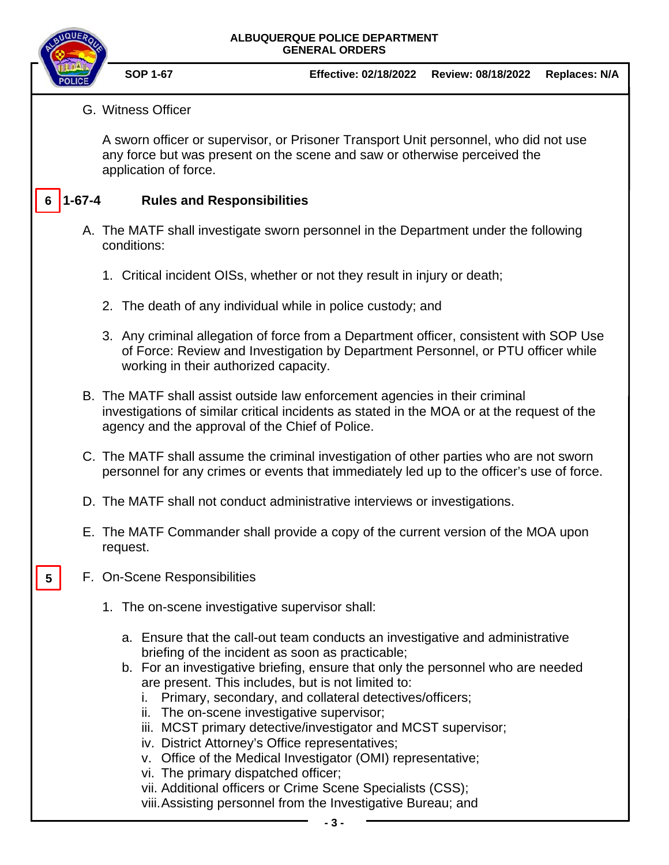### **ALBUQUERQUE POLICE DEPARTMENT GENERAL ORDERS**

- **SOP 1-67 Effective: 02/18/2022 Review: 08/18/2022 Replaces: N/A**
- G. Witness Officer

A sworn officer or supervisor, or Prisoner Transport Unit personnel, who did not use any force but was present on the scene and saw or otherwise perceived the application of force.

#### **1-67-4 Rules and Responsibilities 6**

- A. The MATF shall investigate sworn personnel in the Department under the following conditions:
	- 1. Critical incident OISs, whether or not they result in injury or death;
	- 2. The death of any individual while in police custody; and
	- 3. Any criminal allegation of force from a Department officer, consistent with SOP Use of Force: Review and Investigation by Department Personnel, or PTU officer while working in their authorized capacity.
- B. The MATF shall assist outside law enforcement agencies in their criminal investigations of similar critical incidents as stated in the MOA or at the request of the agency and the approval of the Chief of Police.
- C. The MATF shall assume the criminal investigation of other parties who are not sworn personnel for any crimes or events that immediately led up to the officer's use of force.
- D. The MATF shall not conduct administrative interviews or investigations.
- E. The MATF Commander shall provide a copy of the current version of the MOA upon request.
- F. On-Scene Responsibilities **5**
	- 1. The on-scene investigative supervisor shall:
		- a. Ensure that the call-out team conducts an investigative and administrative briefing of the incident as soon as practicable;
		- b. For an investigative briefing, ensure that only the personnel who are needed are present. This includes, but is not limited to:
			- i. Primary, secondary, and collateral detectives/officers;
			- ii. The on-scene investigative supervisor;
			- iii. MCST primary detective/investigator and MCST supervisor;
			- iv. District Attorney's Office representatives;
			- v. Office of the Medical Investigator (OMI) representative;
			- vi. The primary dispatched officer;
			- vii. Additional officers or Crime Scene Specialists (CSS);

viii.Assisting personnel from the Investigative Bureau; and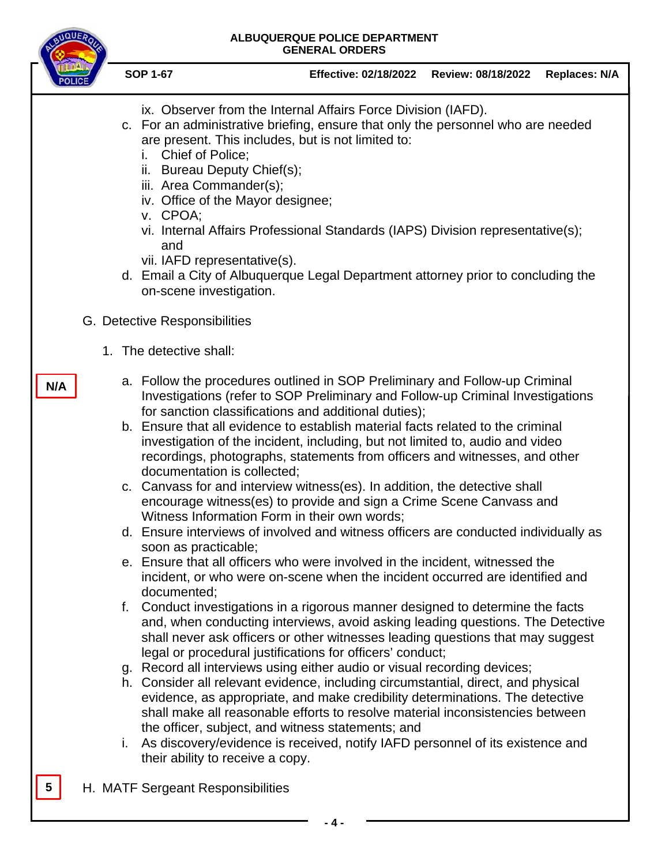| ALBUQUERQUE POLICE DEPARTMENT<br><b>GENERAL ORDERS</b>                                                                                                                                                                                                                                                                                                                                                                                                                                                                                                                                                                                                                                                                                                                                                                                                                                                                                                                                                                                                                                                                                                                                                                                                                                                                                                                                                                                                                                                                                                                                                                                                                                                                                                                                                                                                |                                                                                                                                                                                                                                                                                                                                                                                                                                   |                                                                                                                                                 |                    |                      |
|-------------------------------------------------------------------------------------------------------------------------------------------------------------------------------------------------------------------------------------------------------------------------------------------------------------------------------------------------------------------------------------------------------------------------------------------------------------------------------------------------------------------------------------------------------------------------------------------------------------------------------------------------------------------------------------------------------------------------------------------------------------------------------------------------------------------------------------------------------------------------------------------------------------------------------------------------------------------------------------------------------------------------------------------------------------------------------------------------------------------------------------------------------------------------------------------------------------------------------------------------------------------------------------------------------------------------------------------------------------------------------------------------------------------------------------------------------------------------------------------------------------------------------------------------------------------------------------------------------------------------------------------------------------------------------------------------------------------------------------------------------------------------------------------------------------------------------------------------------|-----------------------------------------------------------------------------------------------------------------------------------------------------------------------------------------------------------------------------------------------------------------------------------------------------------------------------------------------------------------------------------------------------------------------------------|-------------------------------------------------------------------------------------------------------------------------------------------------|--------------------|----------------------|
|                                                                                                                                                                                                                                                                                                                                                                                                                                                                                                                                                                                                                                                                                                                                                                                                                                                                                                                                                                                                                                                                                                                                                                                                                                                                                                                                                                                                                                                                                                                                                                                                                                                                                                                                                                                                                                                       | <b>SOP 1-67</b>                                                                                                                                                                                                                                                                                                                                                                                                                   | <b>Effective: 02/18/2022</b>                                                                                                                    | Review: 08/18/2022 | <b>Replaces: N/A</b> |
|                                                                                                                                                                                                                                                                                                                                                                                                                                                                                                                                                                                                                                                                                                                                                                                                                                                                                                                                                                                                                                                                                                                                                                                                                                                                                                                                                                                                                                                                                                                                                                                                                                                                                                                                                                                                                                                       | c. For an administrative briefing, ensure that only the personnel who are needed<br>are present. This includes, but is not limited to:<br>Chief of Police;<br>i.<br>ii. Bureau Deputy Chief(s);<br>iii. Area Commander(s);<br>iv. Office of the Mayor designee;<br>v. CPOA;<br>and<br>vii. IAFD representative(s).<br>d. Email a City of Albuquerque Legal Department attorney prior to concluding the<br>on-scene investigation. | ix. Observer from the Internal Affairs Force Division (IAFD).<br>vi. Internal Affairs Professional Standards (IAPS) Division representative(s); |                    |                      |
| G. Detective Responsibilities                                                                                                                                                                                                                                                                                                                                                                                                                                                                                                                                                                                                                                                                                                                                                                                                                                                                                                                                                                                                                                                                                                                                                                                                                                                                                                                                                                                                                                                                                                                                                                                                                                                                                                                                                                                                                         |                                                                                                                                                                                                                                                                                                                                                                                                                                   |                                                                                                                                                 |                    |                      |
|                                                                                                                                                                                                                                                                                                                                                                                                                                                                                                                                                                                                                                                                                                                                                                                                                                                                                                                                                                                                                                                                                                                                                                                                                                                                                                                                                                                                                                                                                                                                                                                                                                                                                                                                                                                                                                                       | 1. The detective shall:                                                                                                                                                                                                                                                                                                                                                                                                           |                                                                                                                                                 |                    |                      |
| a. Follow the procedures outlined in SOP Preliminary and Follow-up Criminal<br>N/A<br>Investigations (refer to SOP Preliminary and Follow-up Criminal Investigations<br>for sanction classifications and additional duties);<br>b. Ensure that all evidence to establish material facts related to the criminal<br>investigation of the incident, including, but not limited to, audio and video<br>recordings, photographs, statements from officers and witnesses, and other<br>documentation is collected;<br>c. Canvass for and interview witness(es). In addition, the detective shall<br>encourage witness(es) to provide and sign a Crime Scene Canvass and<br>Witness Information Form in their own words:<br>d. Ensure interviews of involved and witness officers are conducted individually as<br>soon as practicable;<br>e. Ensure that all officers who were involved in the incident, witnessed the<br>incident, or who were on-scene when the incident occurred are identified and<br>documented:<br>f. Conduct investigations in a rigorous manner designed to determine the facts<br>and, when conducting interviews, avoid asking leading questions. The Detective<br>shall never ask officers or other witnesses leading questions that may suggest<br>legal or procedural justifications for officers' conduct;<br>g. Record all interviews using either audio or visual recording devices;<br>h. Consider all relevant evidence, including circumstantial, direct, and physical<br>evidence, as appropriate, and make credibility determinations. The detective<br>shall make all reasonable efforts to resolve material inconsistencies between<br>the officer, subject, and witness statements; and<br>As discovery/evidence is received, notify IAFD personnel of its existence and<br>L.<br>their ability to receive a copy. |                                                                                                                                                                                                                                                                                                                                                                                                                                   |                                                                                                                                                 |                    |                      |
| H. MATF Sergeant Responsibilities<br>5                                                                                                                                                                                                                                                                                                                                                                                                                                                                                                                                                                                                                                                                                                                                                                                                                                                                                                                                                                                                                                                                                                                                                                                                                                                                                                                                                                                                                                                                                                                                                                                                                                                                                                                                                                                                                |                                                                                                                                                                                                                                                                                                                                                                                                                                   |                                                                                                                                                 |                    |                      |